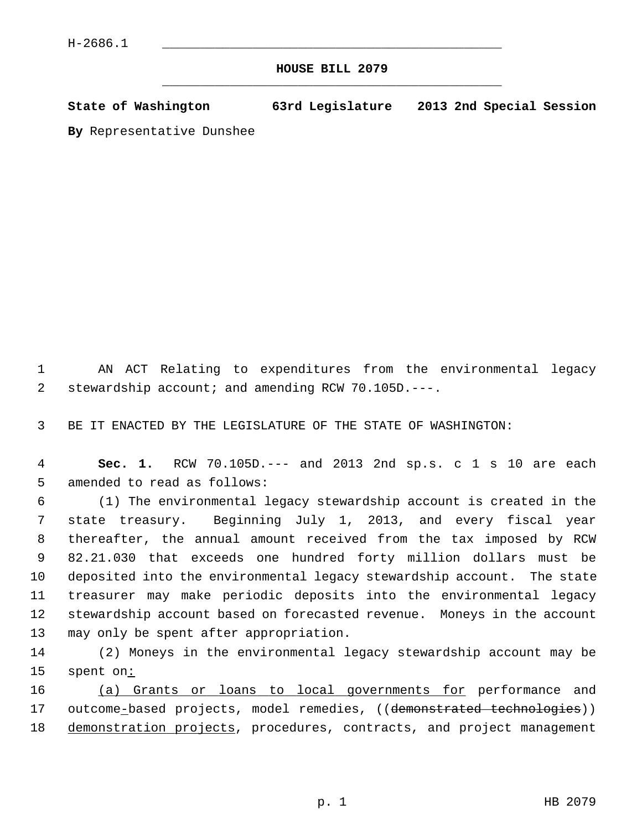## **HOUSE BILL 2079** \_\_\_\_\_\_\_\_\_\_\_\_\_\_\_\_\_\_\_\_\_\_\_\_\_\_\_\_\_\_\_\_\_\_\_\_\_\_\_\_\_\_\_\_\_

**State of Washington 63rd Legislature 2013 2nd Special Session**

**By** Representative Dunshee

 1 AN ACT Relating to expenditures from the environmental legacy 2 stewardship account; and amending RCW 70.105D.---.

3 BE IT ENACTED BY THE LEGISLATURE OF THE STATE OF WASHINGTON:

 4 **Sec. 1.** RCW 70.105D.--- and 2013 2nd sp.s. c 1 s 10 are each 5 amended to read as follows:

 6 (1) The environmental legacy stewardship account is created in the 7 state treasury. Beginning July 1, 2013, and every fiscal year 8 thereafter, the annual amount received from the tax imposed by RCW 9 82.21.030 that exceeds one hundred forty million dollars must be 10 deposited into the environmental legacy stewardship account. The state 11 treasurer may make periodic deposits into the environmental legacy 12 stewardship account based on forecasted revenue. Moneys in the account 13 may only be spent after appropriation.

14 (2) Moneys in the environmental legacy stewardship account may be 15 spent on:

16 (a) Grants or loans to local governments for performance and 17 outcome-based projects, model remedies, ((demonstrated technologies)) 18 demonstration projects, procedures, contracts, and project management